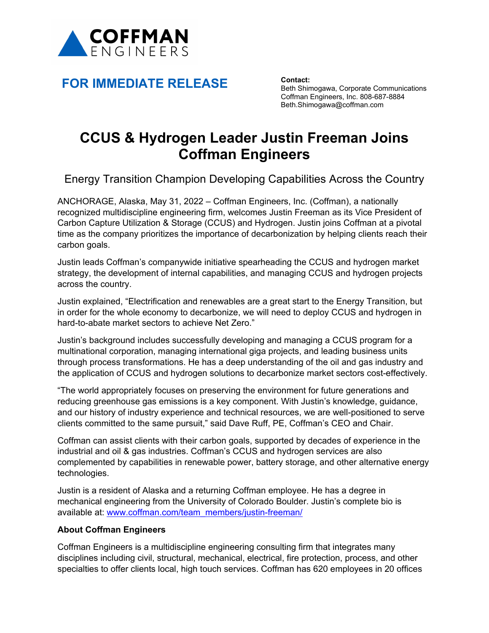

## **FOR IMMEDIATE RELEASE Contact:**

Beth Shimogawa, Corporate Communications Coffman Engineers, Inc. 808-687-8884 Beth.Shimogawa@coffman.com

## **CCUS & Hydrogen Leader Justin Freeman Joins Coffman Engineers**

Energy Transition Champion Developing Capabilities Across the Country

ANCHORAGE, Alaska, May 31, 2022 – Coffman Engineers, Inc. (Coffman), a nationally recognized multidiscipline engineering firm, welcomes Justin Freeman as its Vice President of Carbon Capture Utilization & Storage (CCUS) and Hydrogen. Justin joins Coffman at a pivotal time as the company prioritizes the importance of decarbonization by helping clients reach their carbon goals.

Justin leads Coffman's companywide initiative spearheading the CCUS and hydrogen market strategy, the development of internal capabilities, and managing CCUS and hydrogen projects across the country.

Justin explained, "Electrification and renewables are a great start to the Energy Transition, but in order for the whole economy to decarbonize, we will need to deploy CCUS and hydrogen in hard-to-abate market sectors to achieve Net Zero."

Justin's background includes successfully developing and managing a CCUS program for a multinational corporation, managing international giga projects, and leading business units through process transformations. He has a deep understanding of the oil and gas industry and the application of CCUS and hydrogen solutions to decarbonize market sectors cost-effectively.

"The world appropriately focuses on preserving the environment for future generations and reducing greenhouse gas emissions is a key component. With Justin's knowledge, guidance, and our history of industry experience and technical resources, we are well-positioned to serve clients committed to the same pursuit," said Dave Ruff, PE, Coffman's CEO and Chair.

Coffman can assist clients with their carbon goals, supported by decades of experience in the industrial and oil & gas industries. Coffman's CCUS and hydrogen services are also complemented by capabilities in renewable power, battery storage, and other alternative energy technologies.

Justin is a resident of Alaska and a returning Coffman employee. He has a degree in mechanical engineering from the University of Colorado Boulder. Justin's complete bio is available at: [www.coffman.com/team\\_members/justin-freeman/](http://www.coffman.com/team_members/justin-freeman/)

## **About Coffman Engineers**

Coffman Engineers is a multidiscipline engineering consulting firm that integrates many disciplines including civil, structural, mechanical, electrical, fire protection, process, and other specialties to offer clients local, high touch services. Coffman has 620 employees in 20 offices